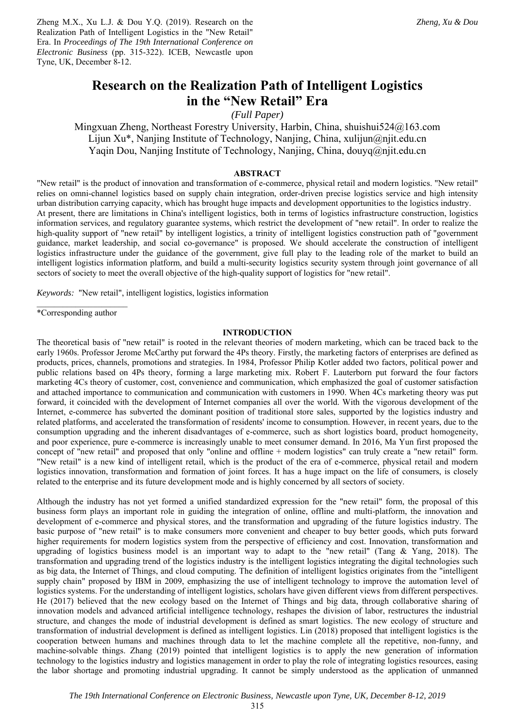Zheng M.X., Xu L.J. & Dou Y.Q. (2019). Research on the Realization Path of Intelligent Logistics in the "New Retail" Era. In *Proceedings of The 19th International Conference on Electronic Business* (pp. 315-322). ICEB, Newcastle upon Tyne, UK, December 8-12.

# **Research on the Realization Path of Intelligent Logistics in the "New Retail" Era**

*(Full Paper)* 

Mingxuan Zheng, Northeast Forestry University, Harbin, China, shuishui524@163.com Lijun Xu\*, Nanjing Institute of Technology, Nanjing, China, xulijun@njit.edu.cn Yaqin Dou, Nanjing Institute of Technology, Nanjing, China, douyq@njit.edu.cn

# **ABSTRACT**

"New retail" is the product of innovation and transformation of e-commerce, physical retail and modern logistics. "New retail" relies on omni-channel logistics based on supply chain integration, order-driven precise logistics service and high intensity urban distribution carrying capacity, which has brought huge impacts and development opportunities to the logistics industry. At present, there are limitations in China's intelligent logistics, both in terms of logistics infrastructure construction, logistics information services, and regulatory guarantee systems, which restrict the development of "new retail". In order to realize the high-quality support of "new retail" by intelligent logistics, a trinity of intelligent logistics construction path of "government guidance, market leadership, and social co-governance" is proposed. We should accelerate the construction of intelligent logistics infrastructure under the guidance of the government, give full play to the leading role of the market to build an intelligent logistics information platform, and build a multi-security logistics security system through joint governance of all sectors of society to meet the overall objective of the high-quality support of logistics for "new retail".

*Keywords:* "New retail", intelligent logistics, logistics information

 $\frac{1}{2}$  ,  $\frac{1}{2}$  ,  $\frac{1}{2}$  ,  $\frac{1}{2}$  ,  $\frac{1}{2}$  ,  $\frac{1}{2}$  ,  $\frac{1}{2}$  ,  $\frac{1}{2}$  ,  $\frac{1}{2}$  ,  $\frac{1}{2}$ \*Corresponding author

## **INTRODUCTION**

The theoretical basis of "new retail" is rooted in the relevant theories of modern marketing, which can be traced back to the early 1960s. Professor Jerome McCarthy put forward the 4Ps theory. Firstly, the marketing factors of enterprises are defined as products, prices, channels, promotions and strategies. In 1984, Professor Philip Kotler added two factors, political power and public relations based on 4Ps theory, forming a large marketing mix. Robert F. Lauterborn put forward the four factors marketing 4Cs theory of customer, cost, convenience and communication, which emphasized the goal of customer satisfaction and attached importance to communication and communication with customers in 1990. When 4Cs marketing theory was put forward, it coincided with the development of Internet companies all over the world. With the vigorous development of the Internet, e-commerce has subverted the dominant position of traditional store sales, supported by the logistics industry and related platforms, and accelerated the transformation of residents' income to consumption. However, in recent years, due to the consumption upgrading and the inherent disadvantages of e-commerce, such as short logistics board, product homogeneity, and poor experience, pure e-commerce is increasingly unable to meet consumer demand. In 2016, Ma Yun first proposed the concept of "new retail" and proposed that only "online and offline + modern logistics" can truly create a "new retail" form. "New retail" is a new kind of intelligent retail, which is the product of the era of e-commerce, physical retail and modern logistics innovation, transformation and formation of joint forces. It has a huge impact on the life of consumers, is closely related to the enterprise and its future development mode and is highly concerned by all sectors of society.

Although the industry has not yet formed a unified standardized expression for the "new retail" form, the proposal of this business form plays an important role in guiding the integration of online, offline and multi-platform, the innovation and development of e-commerce and physical stores, and the transformation and upgrading of the future logistics industry. The basic purpose of "new retail" is to make consumers more convenient and cheaper to buy better goods, which puts forward higher requirements for modern logistics system from the perspective of efficiency and cost. Innovation, transformation and upgrading of logistics business model is an important way to adapt to the "new retail" (Tang  $\&$  Yang, 2018). The transformation and upgrading trend of the logistics industry is the intelligent logistics integrating the digital technologies such as big data, the Internet of Things, and cloud computing. The definition of intelligent logistics originates from the "intelligent supply chain" proposed by IBM in 2009, emphasizing the use of intelligent technology to improve the automation level of logistics systems. For the understanding of intelligent logistics, scholars have given different views from different perspectives. He (2017) believed that the new ecology based on the Internet of Things and big data, through collaborative sharing of innovation models and advanced artificial intelligence technology, reshapes the division of labor, restructures the industrial structure, and changes the mode of industrial development is defined as smart logistics. The new ecology of structure and transformation of industrial development is defined as intelligent logistics. Lin (2018) proposed that intelligent logistics is the cooperation between humans and machines through data to let the machine complete all the repetitive, non-funny, and machine-solvable things. Zhang (2019) pointed that intelligent logistics is to apply the new generation of information technology to the logistics industry and logistics management in order to play the role of integrating logistics resources, easing the labor shortage and promoting industrial upgrading. It cannot be simply understood as the application of unmanned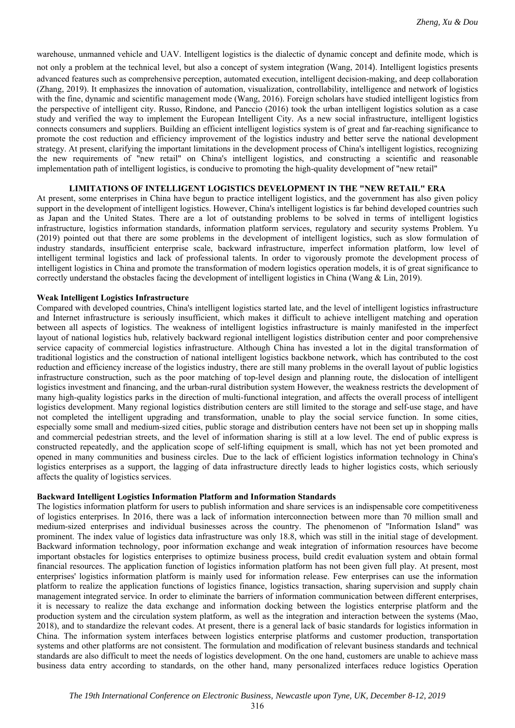warehouse, unmanned vehicle and UAV. Intelligent logistics is the dialectic of dynamic concept and definite mode, which is not only a problem at the technical level, but also a concept of system integration (Wang, 2014). Intelligent logistics presents advanced features such as comprehensive perception, automated execution, intelligent decision-making, and deep collaboration (Zhang, 2019). It emphasizes the innovation of automation, visualization, controllability, intelligence and network of logistics with the fine, dynamic and scientific management mode (Wang, 2016). Foreign scholars have studied intelligent logistics from the perspective of intelligent city. Russo, Rindone, and Panccio (2016) took the urban intelligent logistics solution as a case study and verified the way to implement the European Intelligent City. As a new social infrastructure, intelligent logistics connects consumers and suppliers. Building an efficient intelligent logistics system is of great and far-reaching significance to promote the cost reduction and efficiency improvement of the logistics industry and better serve the national development strategy. At present, clarifying the important limitations in the development process of China's intelligent logistics, recognizing the new requirements of "new retail" on China's intelligent logistics, and constructing a scientific and reasonable implementation path of intelligent logistics, is conducive to promoting the high-quality development of "new retail"

# **LIMITATIONS OF INTELLIGENT LOGISTICS DEVELOPMENT IN THE "NEW RETAIL" ERA**

At present, some enterprises in China have begun to practice intelligent logistics, and the government has also given policy support in the development of intelligent logistics. However, China's intelligent logistics is far behind developed countries such as Japan and the United States. There are a lot of outstanding problems to be solved in terms of intelligent logistics infrastructure, logistics information standards, information platform services, regulatory and security systems Problem. Yu (2019) pointed out that there are some problems in the development of intelligent logistics, such as slow formulation of industry standards, insufficient enterprise scale, backward infrastructure, imperfect information platform, low level of intelligent terminal logistics and lack of professional talents. In order to vigorously promote the development process of intelligent logistics in China and promote the transformation of modern logistics operation models, it is of great significance to correctly understand the obstacles facing the development of intelligent logistics in China (Wang & Lin, 2019).

#### **Weak Intelligent Logistics Infrastructure**

Compared with developed countries, China's intelligent logistics started late, and the level of intelligent logistics infrastructure and Internet infrastructure is seriously insufficient, which makes it difficult to achieve intelligent matching and operation between all aspects of logistics. The weakness of intelligent logistics infrastructure is mainly manifested in the imperfect layout of national logistics hub, relatively backward regional intelligent logistics distribution center and poor comprehensive service capacity of commercial logistics infrastructure. Although China has invested a lot in the digital transformation of traditional logistics and the construction of national intelligent logistics backbone network, which has contributed to the cost reduction and efficiency increase of the logistics industry, there are still many problems in the overall layout of public logistics infrastructure construction, such as the poor matching of top-level design and planning route, the dislocation of intelligent logistics investment and financing, and the urban-rural distribution system However, the weakness restricts the development of many high-quality logistics parks in the direction of multi-functional integration, and affects the overall process of intelligent logistics development. Many regional logistics distribution centers are still limited to the storage and self-use stage, and have not completed the intelligent upgrading and transformation, unable to play the social service function. In some cities, especially some small and medium-sized cities, public storage and distribution centers have not been set up in shopping malls and commercial pedestrian streets, and the level of information sharing is still at a low level. The end of public express is constructed repeatedly, and the application scope of self-lifting equipment is small, which has not yet been promoted and opened in many communities and business circles. Due to the lack of efficient logistics information technology in China's logistics enterprises as a support, the lagging of data infrastructure directly leads to higher logistics costs, which seriously affects the quality of logistics services.

#### **Backward Intelligent Logistics Information Platform and Information Standards**

The logistics information platform for users to publish information and share services is an indispensable core competitiveness of logistics enterprises. In 2016, there was a lack of information interconnection between more than 70 million small and medium-sized enterprises and individual businesses across the country. The phenomenon of "Information Island" was prominent. The index value of logistics data infrastructure was only 18.8, which was still in the initial stage of development. Backward information technology, poor information exchange and weak integration of information resources have become important obstacles for logistics enterprises to optimize business process, build credit evaluation system and obtain formal financial resources. The application function of logistics information platform has not been given full play. At present, most enterprises' logistics information platform is mainly used for information release. Few enterprises can use the information platform to realize the application functions of logistics finance, logistics transaction, sharing supervision and supply chain management integrated service. In order to eliminate the barriers of information communication between different enterprises, it is necessary to realize the data exchange and information docking between the logistics enterprise platform and the production system and the circulation system platform, as well as the integration and interaction between the systems (Mao, 2018), and to standardize the relevant codes. At present, there is a general lack of basic standards for logistics information in China. The information system interfaces between logistics enterprise platforms and customer production, transportation systems and other platforms are not consistent. The formulation and modification of relevant business standards and technical standards are also difficult to meet the needs of logistics development. On the one hand, customers are unable to achieve mass business data entry according to standards, on the other hand, many personalized interfaces reduce logistics Operation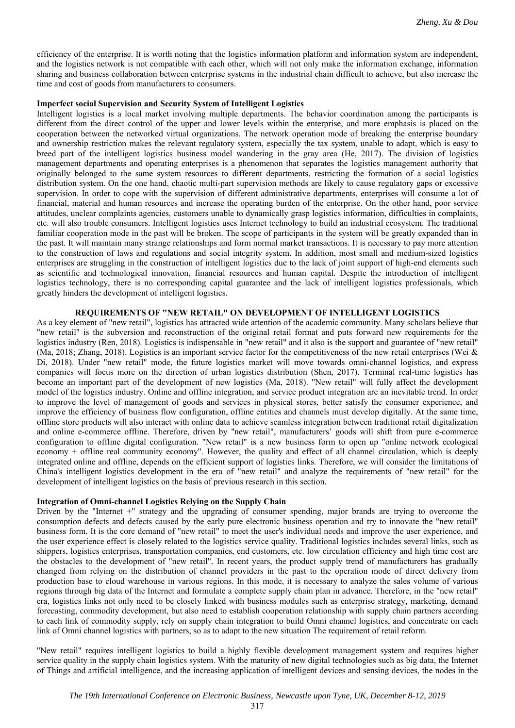efficiency of the enterprise. It is worth noting that the logistics information platform and information system are independent, and the logistics network is not compatible with each other, which will not only make the information exchange, information sharing and business collaboration between enterprise systems in the industrial chain difficult to achieve, but also increase the time and cost of goods from manufacturers to consumers.

## **Imperfect social Supervision and Security System of Intelligent Logistics**

Intelligent logistics is a local market involving multiple departments. The behavior coordination among the participants is different from the direct control of the upper and lower levels within the enterprise, and more emphasis is placed on the cooperation between the networked virtual organizations. The network operation mode of breaking the enterprise boundary and ownership restriction makes the relevant regulatory system, especially the tax system, unable to adapt, which is easy to breed part of the intelligent logistics business model wandering in the gray area (He, 2017). The division of logistics management departments and operating enterprises is a phenomenon that separates the logistics management authority that originally belonged to the same system resources to different departments, restricting the formation of a social logistics distribution system. On the one hand, chaotic multi-part supervision methods are likely to cause regulatory gaps or excessive supervision. In order to cope with the supervision of different administrative departments, enterprises will consume a lot of financial, material and human resources and increase the operating burden of the enterprise. On the other hand, poor service attitudes, unclear complaints agencies, customers unable to dynamically grasp logistics information, difficulties in complaints, etc. will also trouble consumers. Intelligent logistics uses Internet technology to build an industrial ecosystem. The traditional familiar cooperation mode in the past will be broken. The scope of participants in the system will be greatly expanded than in the past. It will maintain many strange relationships and form normal market transactions. It is necessary to pay more attention to the construction of laws and regulations and social integrity system. In addition, most small and medium-sized logistics enterprises are struggling in the construction of intelligent logistics due to the lack of joint support of high-end elements such as scientific and technological innovation, financial resources and human capital. Despite the introduction of intelligent logistics technology, there is no corresponding capital guarantee and the lack of intelligent logistics professionals, which greatly hinders the development of intelligent logistics.

# **REQUIREMENTS OF "NEW RETAIL" ON DEVELOPMENT OF INTELLIGENT LOGISTICS**

As a key element of "new retail", logistics has attracted wide attention of the academic community. Many scholars believe that "new retail" is the subversion and reconstruction of the original retail format and puts forward new requirements for the logistics industry (Ren, 2018). Logistics is indispensable in "new retail" and it also is the support and guarantee of "new retail" (Ma, 2018; Zhang, 2018). Logistics is an important service factor for the competitiveness of the new retail enterprises (Wei & Di, 2018). Under "new retail" mode, the future logistics market will move towards omni-channel logistics, and express companies will focus more on the direction of urban logistics distribution (Shen, 2017). Terminal real-time logistics has become an important part of the development of new logistics (Ma, 2018). "New retail" will fully affect the development model of the logistics industry. Online and offline integration, and service product integration are an inevitable trend. In order to improve the level of management of goods and services in physical stores, better satisfy the consumer experience, and improve the efficiency of business flow configuration, offline entities and channels must develop digitally. At the same time, offline store products will also interact with online data to achieve seamless integration between traditional retail digitalization and online e-commerce offline. Therefore, driven by "new retail", manufacturers' goods will shift from pure e-commerce configuration to offline digital configuration. "New retail" is a new business form to open up "online network ecological economy + offline real community economy". However, the quality and effect of all channel circulation, which is deeply integrated online and offline, depends on the efficient support of logistics links. Therefore, we will consider the limitations of China's intelligent logistics development in the era of "new retail" and analyze the requirements of "new retail" for the development of intelligent logistics on the basis of previous research in this section.

## **Integration of Omni-channel Logistics Relying on the Supply Chain**

Driven by the "Internet +" strategy and the upgrading of consumer spending, major brands are trying to overcome the consumption defects and defects caused by the early pure electronic business operation and try to innovate the "new retail" business form. It is the core demand of "new retail" to meet the user's individual needs and improve the user experience, and the user experience effect is closely related to the logistics service quality. Traditional logistics includes several links, such as shippers, logistics enterprises, transportation companies, end customers, etc. low circulation efficiency and high time cost are the obstacles to the development of "new retail". In recent years, the product supply trend of manufacturers has gradually changed from relying on the distribution of channel providers in the past to the operation mode of direct delivery from production base to cloud warehouse in various regions. In this mode, it is necessary to analyze the sales volume of various regions through big data of the Internet and formulate a complete supply chain plan in advance. Therefore, in the "new retail" era, logistics links not only need to be closely linked with business modules such as enterprise strategy, marketing, demand forecasting, commodity development, but also need to establish cooperation relationship with supply chain partners according to each link of commodity supply, rely on supply chain integration to build Omni channel logistics, and concentrate on each link of Omni channel logistics with partners, so as to adapt to the new situation The requirement of retail reform.

"New retail" requires intelligent logistics to build a highly flexible development management system and requires higher service quality in the supply chain logistics system. With the maturity of new digital technologies such as big data, the Internet of Things and artificial intelligence, and the increasing application of intelligent devices and sensing devices, the nodes in the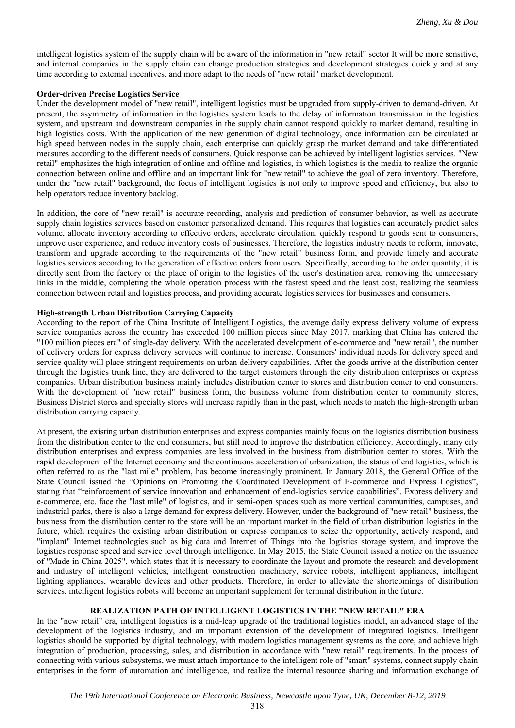intelligent logistics system of the supply chain will be aware of the information in "new retail" sector It will be more sensitive, and internal companies in the supply chain can change production strategies and development strategies quickly and at any time according to external incentives, and more adapt to the needs of "new retail" market development.

# **Order-driven Precise Logistics Service**

Under the development model of "new retail", intelligent logistics must be upgraded from supply-driven to demand-driven. At present, the asymmetry of information in the logistics system leads to the delay of information transmission in the logistics system, and upstream and downstream companies in the supply chain cannot respond quickly to market demand, resulting in high logistics costs. With the application of the new generation of digital technology, once information can be circulated at high speed between nodes in the supply chain, each enterprise can quickly grasp the market demand and take differentiated measures according to the different needs of consumers. Quick response can be achieved by intelligent logistics services. "New retail" emphasizes the high integration of online and offline and logistics, in which logistics is the media to realize the organic connection between online and offline and an important link for "new retail" to achieve the goal of zero inventory. Therefore, under the "new retail" background, the focus of intelligent logistics is not only to improve speed and efficiency, but also to help operators reduce inventory backlog.

In addition, the core of "new retail" is accurate recording, analysis and prediction of consumer behavior, as well as accurate supply chain logistics services based on customer personalized demand. This requires that logistics can accurately predict sales volume, allocate inventory according to effective orders, accelerate circulation, quickly respond to goods sent to consumers, improve user experience, and reduce inventory costs of businesses. Therefore, the logistics industry needs to reform, innovate, transform and upgrade according to the requirements of the "new retail" business form, and provide timely and accurate logistics services according to the generation of effective orders from users. Specifically, according to the order quantity, it is directly sent from the factory or the place of origin to the logistics of the user's destination area, removing the unnecessary links in the middle, completing the whole operation process with the fastest speed and the least cost, realizing the seamless connection between retail and logistics process, and providing accurate logistics services for businesses and consumers.

# **High-strength Urban Distribution Carrying Capacity**

According to the report of the China Institute of Intelligent Logistics, the average daily express delivery volume of express service companies across the country has exceeded 100 million pieces since May 2017, marking that China has entered the "100 million pieces era" of single-day delivery. With the accelerated development of e-commerce and "new retail", the number of delivery orders for express delivery services will continue to increase. Consumers' individual needs for delivery speed and service quality will place stringent requirements on urban delivery capabilities. After the goods arrive at the distribution center through the logistics trunk line, they are delivered to the target customers through the city distribution enterprises or express companies. Urban distribution business mainly includes distribution center to stores and distribution center to end consumers. With the development of "new retail" business form, the business volume from distribution center to community stores, Business District stores and specialty stores will increase rapidly than in the past, which needs to match the high-strength urban distribution carrying capacity.

At present, the existing urban distribution enterprises and express companies mainly focus on the logistics distribution business from the distribution center to the end consumers, but still need to improve the distribution efficiency. Accordingly, many city distribution enterprises and express companies are less involved in the business from distribution center to stores. With the rapid development of the Internet economy and the continuous acceleration of urbanization, the status of end logistics, which is often referred to as the "last mile" problem, has become increasingly prominent. In January 2018, the General Office of the State Council issued the "Opinions on Promoting the Coordinated Development of E-commerce and Express Logistics", stating that "reinforcement of service innovation and enhancement of end-logistics service capabilities". Express delivery and e-commerce, etc. face the "last mile" of logistics, and in semi-open spaces such as more vertical communities, campuses, and industrial parks, there is also a large demand for express delivery. However, under the background of "new retail" business, the business from the distribution center to the store will be an important market in the field of urban distribution logistics in the future, which requires the existing urban distribution or express companies to seize the opportunity, actively respond, and "implant" Internet technologies such as big data and Internet of Things into the logistics storage system, and improve the logistics response speed and service level through intelligence. In May 2015, the State Council issued a notice on the issuance of "Made in China 2025", which states that it is necessary to coordinate the layout and promote the research and development and industry of intelligent vehicles, intelligent construction machinery, service robots, intelligent appliances, intelligent lighting appliances, wearable devices and other products. Therefore, in order to alleviate the shortcomings of distribution services, intelligent logistics robots will become an important supplement for terminal distribution in the future.

# **REALIZATION PATH OF INTELLIGENT LOGISTICS IN THE "NEW RETAIL" ERA**

In the "new retail" era, intelligent logistics is a mid-leap upgrade of the traditional logistics model, an advanced stage of the development of the logistics industry, and an important extension of the development of integrated logistics. Intelligent logistics should be supported by digital technology, with modern logistics management systems as the core, and achieve high integration of production, processing, sales, and distribution in accordance with "new retail" requirements. In the process of connecting with various subsystems, we must attach importance to the intelligent role of "smart" systems, connect supply chain enterprises in the form of automation and intelligence, and realize the internal resource sharing and information exchange of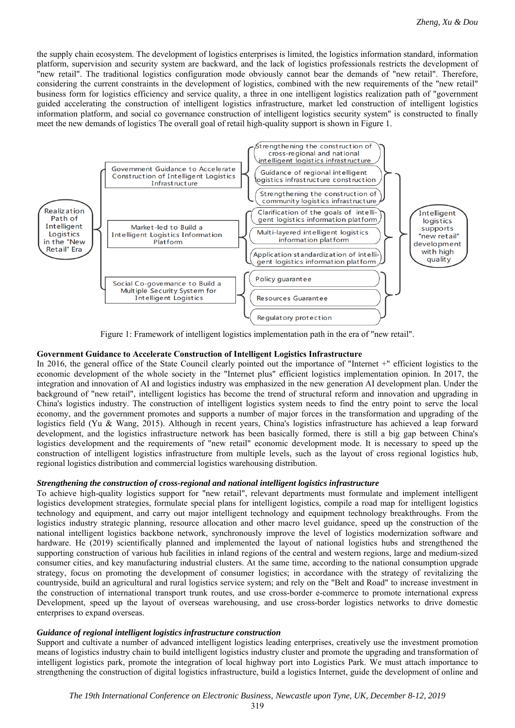the supply chain ecosystem. The development of logistics enterprises is limited, the logistics information standard, information platform, supervision and security system are backward, and the lack of logistics professionals restricts the development of "new retail". The traditional logistics configuration mode obviously cannot bear the demands of "new retail". Therefore, considering the current constraints in the development of logistics, combined with the new requirements of the "new retail" business form for logistics efficiency and service quality, a three in one intelligent logistics realization path of "government guided accelerating the construction of intelligent logistics infrastructure, market led construction of intelligent logistics information platform, and social co governance construction of intelligent logistics security system" is constructed to finally meet the new demands of logistics The overall goal of retail high-quality support is shown in Figure 1.



Figure 1: Framework of intelligent logistics implementation path in the era of "new retail".

# **Government Guidance to Accelerate Construction of Intelligent Logistics Infrastructure**

In 2016, the general office of the State Council clearly pointed out the importance of "Internet +" efficient logistics to the economic development of the whole society in the "Internet plus" efficient logistics implementation opinion. In 2017, the integration and innovation of AI and logistics industry was emphasized in the new generation AI development plan. Under the background of "new retail", intelligent logistics has become the trend of structural reform and innovation and upgrading in China's logistics industry. The construction of intelligent logistics system needs to find the entry point to serve the local economy, and the government promotes and supports a number of major forces in the transformation and upgrading of the logistics field (Yu & Wang, 2015). Although in recent years, China's logistics infrastructure has achieved a leap forward development, and the logistics infrastructure network has been basically formed, there is still a big gap between China's logistics development and the requirements of "new retail" economic development mode. It is necessary to speed up the construction of intelligent logistics infrastructure from multiple levels, such as the layout of cross regional logistics hub, regional logistics distribution and commercial logistics warehousing distribution.

# *Strengthening the construction of cross-regional and national intelligent logistics infrastructure*

To achieve high-quality logistics support for "new retail", relevant departments must formulate and implement intelligent logistics development strategies, formulate special plans for intelligent logistics, compile a road map for intelligent logistics technology and equipment, and carry out major intelligent technology and equipment technology breakthroughs. From the logistics industry strategic planning, resource allocation and other macro level guidance, speed up the construction of the national intelligent logistics backbone network, synchronously improve the level of logistics modernization software and hardware. He (2019) scientifically planned and implemented the layout of national logistics hubs and strengthened the supporting construction of various hub facilities in inland regions of the central and western regions, large and medium-sized consumer cities, and key manufacturing industrial clusters. At the same time, according to the national consumption upgrade strategy, focus on promoting the development of consumer logistics; in accordance with the strategy of revitalizing the countryside, build an agricultural and rural logistics service system; and rely on the "Belt and Road" to increase investment in the construction of international transport trunk routes, and use cross-border e-commerce to promote international express Development, speed up the layout of overseas warehousing, and use cross-border logistics networks to drive domestic enterprises to expand overseas.

# *Guidance of regional intelligent logistics infrastructure construction*

Support and cultivate a number of advanced intelligent logistics leading enterprises, creatively use the investment promotion means of logistics industry chain to build intelligent logistics industry cluster and promote the upgrading and transformation of intelligent logistics park, promote the integration of local highway port into Logistics Park. We must attach importance to strengthening the construction of digital logistics infrastructure, build a logistics Internet, guide the development of online and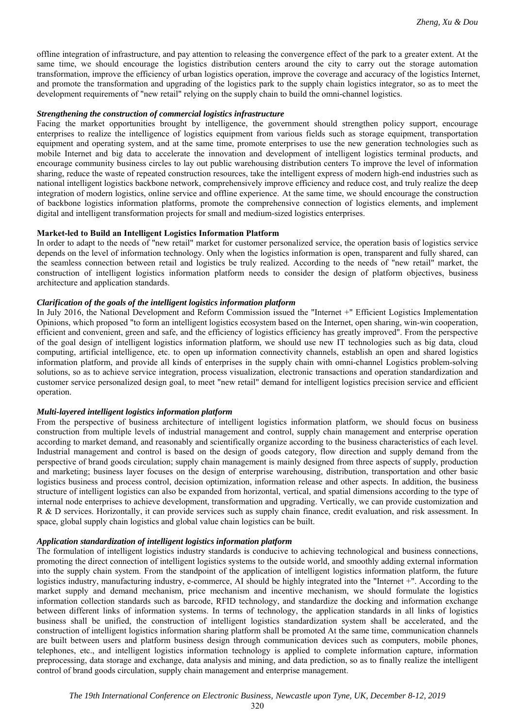offline integration of infrastructure, and pay attention to releasing the convergence effect of the park to a greater extent. At the same time, we should encourage the logistics distribution centers around the city to carry out the storage automation transformation, improve the efficiency of urban logistics operation, improve the coverage and accuracy of the logistics Internet, and promote the transformation and upgrading of the logistics park to the supply chain logistics integrator, so as to meet the development requirements of "new retail" relying on the supply chain to build the omni-channel logistics.

## *Strengthening the construction of commercial logistics infrastructure*

Facing the market opportunities brought by intelligence, the government should strengthen policy support, encourage enterprises to realize the intelligence of logistics equipment from various fields such as storage equipment, transportation equipment and operating system, and at the same time, promote enterprises to use the new generation technologies such as mobile Internet and big data to accelerate the innovation and development of intelligent logistics terminal products, and encourage community business circles to lay out public warehousing distribution centers To improve the level of information sharing, reduce the waste of repeated construction resources, take the intelligent express of modern high-end industries such as national intelligent logistics backbone network, comprehensively improve efficiency and reduce cost, and truly realize the deep integration of modern logistics, online service and offline experience. At the same time, we should encourage the construction of backbone logistics information platforms, promote the comprehensive connection of logistics elements, and implement digital and intelligent transformation projects for small and medium-sized logistics enterprises.

## **Market-led to Build an Intelligent Logistics Information Platform**

In order to adapt to the needs of "new retail" market for customer personalized service, the operation basis of logistics service depends on the level of information technology. Only when the logistics information is open, transparent and fully shared, can the seamless connection between retail and logistics be truly realized. According to the needs of "new retail" market, the construction of intelligent logistics information platform needs to consider the design of platform objectives, business architecture and application standards.

## *Clarification of the goals of the intelligent logistics information platform*

In July 2016, the National Development and Reform Commission issued the "Internet +" Efficient Logistics Implementation Opinions, which proposed "to form an intelligent logistics ecosystem based on the Internet, open sharing, win-win cooperation, efficient and convenient, green and safe, and the efficiency of logistics efficiency has greatly improved". From the perspective of the goal design of intelligent logistics information platform, we should use new IT technologies such as big data, cloud computing, artificial intelligence, etc. to open up information connectivity channels, establish an open and shared logistics information platform, and provide all kinds of enterprises in the supply chain with omni-channel Logistics problem-solving solutions, so as to achieve service integration, process visualization, electronic transactions and operation standardization and customer service personalized design goal, to meet "new retail" demand for intelligent logistics precision service and efficient operation.

# *Multi-layered intelligent logistics information platform*

From the perspective of business architecture of intelligent logistics information platform, we should focus on business construction from multiple levels of industrial management and control, supply chain management and enterprise operation according to market demand, and reasonably and scientifically organize according to the business characteristics of each level. Industrial management and control is based on the design of goods category, flow direction and supply demand from the perspective of brand goods circulation; supply chain management is mainly designed from three aspects of supply, production and marketing; business layer focuses on the design of enterprise warehousing, distribution, transportation and other basic logistics business and process control, decision optimization, information release and other aspects. In addition, the business structure of intelligent logistics can also be expanded from horizontal, vertical, and spatial dimensions according to the type of internal node enterprises to achieve development, transformation and upgrading. Vertically, we can provide customization and R & D services. Horizontally, it can provide services such as supply chain finance, credit evaluation, and risk assessment. In space, global supply chain logistics and global value chain logistics can be built.

## *Application standardization of intelligent logistics information platform*

The formulation of intelligent logistics industry standards is conducive to achieving technological and business connections, promoting the direct connection of intelligent logistics systems to the outside world, and smoothly adding external information into the supply chain system. From the standpoint of the application of intelligent logistics information platform, the future logistics industry, manufacturing industry, e-commerce, AI should be highly integrated into the "Internet +". According to the market supply and demand mechanism, price mechanism and incentive mechanism, we should formulate the logistics information collection standards such as barcode, RFID technology, and standardize the docking and information exchange between different links of information systems. In terms of technology, the application standards in all links of logistics business shall be unified, the construction of intelligent logistics standardization system shall be accelerated, and the construction of intelligent logistics information sharing platform shall be promoted At the same time, communication channels are built between users and platform business design through communication devices such as computers, mobile phones, telephones, etc., and intelligent logistics information technology is applied to complete information capture, information preprocessing, data storage and exchange, data analysis and mining, and data prediction, so as to finally realize the intelligent control of brand goods circulation, supply chain management and enterprise management.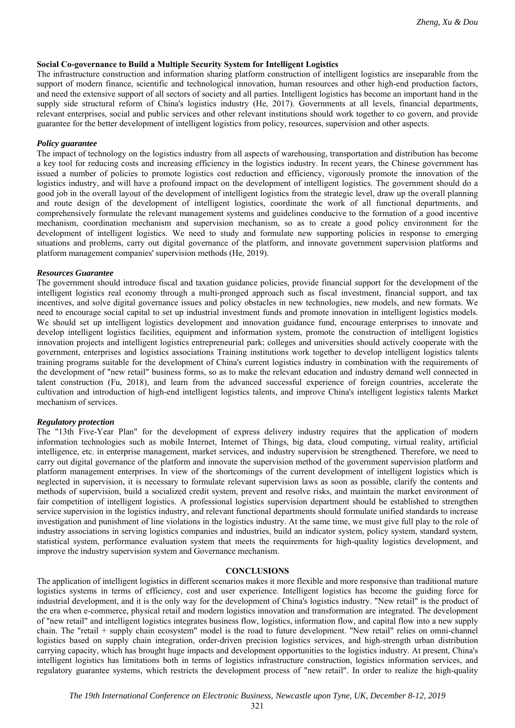# **Social Co-governance to Build a Multiple Security System for Intelligent Logistics**

The infrastructure construction and information sharing platform construction of intelligent logistics are inseparable from the support of modern finance, scientific and technological innovation, human resources and other high-end production factors, and need the extensive support of all sectors of society and all parties. Intelligent logistics has become an important hand in the supply side structural reform of China's logistics industry (He, 2017). Governments at all levels, financial departments, relevant enterprises, social and public services and other relevant institutions should work together to co govern, and provide guarantee for the better development of intelligent logistics from policy, resources, supervision and other aspects.

# *Policy guarantee*

The impact of technology on the logistics industry from all aspects of warehousing, transportation and distribution has become a key tool for reducing costs and increasing efficiency in the logistics industry. In recent years, the Chinese government has issued a number of policies to promote logistics cost reduction and efficiency, vigorously promote the innovation of the logistics industry, and will have a profound impact on the development of intelligent logistics. The government should do a good job in the overall layout of the development of intelligent logistics from the strategic level, draw up the overall planning and route design of the development of intelligent logistics, coordinate the work of all functional departments, and comprehensively formulate the relevant management systems and guidelines conducive to the formation of a good incentive mechanism, coordination mechanism and supervision mechanism, so as to create a good policy environment for the development of intelligent logistics. We need to study and formulate new supporting policies in response to emerging situations and problems, carry out digital governance of the platform, and innovate government supervision platforms and platform management companies' supervision methods (He, 2019).

## *Resources Guarantee*

The government should introduce fiscal and taxation guidance policies, provide financial support for the development of the intelligent logistics real economy through a multi-pronged approach such as fiscal investment, financial support, and tax incentives, and solve digital governance issues and policy obstacles in new technologies, new models, and new formats. We need to encourage social capital to set up industrial investment funds and promote innovation in intelligent logistics models. We should set up intelligent logistics development and innovation guidance fund, encourage enterprises to innovate and develop intelligent logistics facilities, equipment and information system, promote the construction of intelligent logistics innovation projects and intelligent logistics entrepreneurial park; colleges and universities should actively cooperate with the government, enterprises and logistics associations Training institutions work together to develop intelligent logistics talents training programs suitable for the development of China's current logistics industry in combination with the requirements of the development of "new retail" business forms, so as to make the relevant education and industry demand well connected in talent construction (Fu, 2018), and learn from the advanced successful experience of foreign countries, accelerate the cultivation and introduction of high-end intelligent logistics talents, and improve China's intelligent logistics talents Market mechanism of services.

## *Regulatory protection*

The "13th Five-Year Plan" for the development of express delivery industry requires that the application of modern information technologies such as mobile Internet, Internet of Things, big data, cloud computing, virtual reality, artificial intelligence, etc. in enterprise management, market services, and industry supervision be strengthened. Therefore, we need to carry out digital governance of the platform and innovate the supervision method of the government supervision platform and platform management enterprises. In view of the shortcomings of the current development of intelligent logistics which is neglected in supervision, it is necessary to formulate relevant supervision laws as soon as possible, clarify the contents and methods of supervision, build a socialized credit system, prevent and resolve risks, and maintain the market environment of fair competition of intelligent logistics. A professional logistics supervision department should be established to strengthen service supervision in the logistics industry, and relevant functional departments should formulate unified standards to increase investigation and punishment of line violations in the logistics industry. At the same time, we must give full play to the role of industry associations in serving logistics companies and industries, build an indicator system, policy system, standard system, statistical system, performance evaluation system that meets the requirements for high-quality logistics development, and improve the industry supervision system and Governance mechanism.

## **CONCLUSIONS**

The application of intelligent logistics in different scenarios makes it more flexible and more responsive than traditional mature logistics systems in terms of efficiency, cost and user experience. Intelligent logistics has become the guiding force for industrial development, and it is the only way for the development of China's logistics industry. "New retail" is the product of the era when e-commerce, physical retail and modern logistics innovation and transformation are integrated. The development of "new retail" and intelligent logistics integrates business flow, logistics, information flow, and capital flow into a new supply chain. The "retail + supply chain ecosystem" model is the road to future development. "New retail" relies on omni-channel logistics based on supply chain integration, order-driven precision logistics services, and high-strength urban distribution carrying capacity, which has brought huge impacts and development opportunities to the logistics industry. At present, China's intelligent logistics has limitations both in terms of logistics infrastructure construction, logistics information services, and regulatory guarantee systems, which restricts the development process of "new retail". In order to realize the high-quality